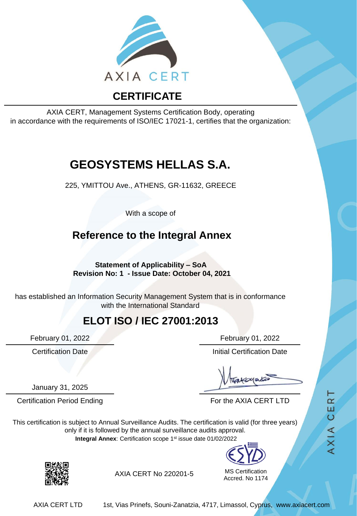

AXIA CERT, Management Systems Certification Body, operating in accordance with the requirements of ISO/IEC 17021-1, certifies that the organization:

# **GEOSYSTEMS HELLAS S.A.**

225, YMITTOU Ave., ATHENS, GR-11632, GREECE

With a scope of

### **Reference to the Integral Annex**

**Statement of Applicability – SoA Revision No: 1 - Issue Date: October 04, 2021**

has established an Information Security Management System that is in conformance with the International Standard

#### **ELOT ISO / IEC 27001:2013**

January 31, 2025

February 01, 2022 February 01, 2022

**Certification Date Initial Certification Date** 

Certification Period Ending For the AXIA CERT LTD

This certification is subject to Annual Surveillance Audits. The certification is valid (for three years) only if it is followed by the annual surveillance audits approval. **Integral Annex**: Certification scope 1st issue date 01/02/2022



MS Certification Accred. No 1174



AXIA CERT No 220201-5

AXIA CERT LTD 1st, Vias Prinefs, Souni-Zanatzia, 4717, Limassol, Cyprus, www.axiacert.com